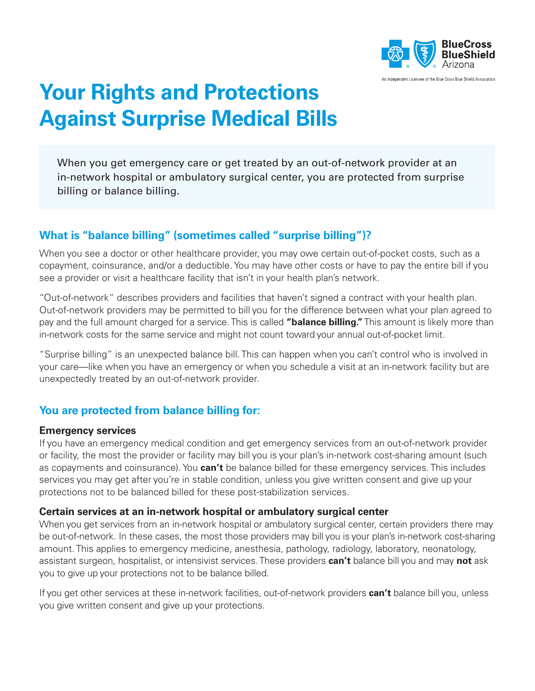

# **Your Rights and Protections Against Surprise Medical Bills**

When you get emergency care or get treated by an out-of-network provider at an in-network hospital or ambulatory surgical center, you are protected from surprise billing or balance billing.

## **What is "balance billing" (sometimes called "surprise billing")?**

When you see a doctor or other healthcare provider, you may owe certain out-of-pocket costs, such as a copayment, coinsurance, and/or a deductible. You may have other costs or have to pay the entire bill if you see a provider or visit a healthcare facility that isn't in your health plan's network.

"Out-of-network" describes providers and facilities that haven't signed a contract with your health plan. Out-of-network providers may be permitted to bill you for the difference between what your plan agreed to pay and the full amount charged for a service. This is called **"balance billing."** This amount is likely more than in-network costs for the same service and might not count toward your annual out-of-pocket limit.

"Surprise billing" is an unexpected balance bill. This can happen when you can't control who is involved in your care—like when you have an emergency or when you schedule a visit at an in-network facility but are unexpectedly treated by an out-of-network provider.

## **You are protected from balance billing for:**

#### **Emergency services**

If you have an emergency medical condition and get emergency services from an out-of-network provider or facility, the most the provider or facility may bill you is your plan's in-network cost-sharing amount (such as copayments and coinsurance). You **can't** be balance billed for these emergency services. This includes services you may get after you're in stable condition, unless you give written consent and give up your protections not to be balanced billed for these post-stabilization services.

#### **Certain services at an in-network hospital or ambulatory surgical center**

When you get services from an in-network hospital or ambulatory surgical center, certain providers there may be out-of-network. In these cases, the most those providers may bill you is your plan's in-network cost-sharing amount. This applies to emergency medicine, anesthesia, pathology, radiology, laboratory, neonatology, assistant surgeon, hospitalist, or intensivist services. These providers **can't** balance bill you and may **not** ask you to give up your protections not to be balance billed.

If you get other services at these in-network facilities, out-of-network providers **can't** balance bill you, unless you give written consent and give up your protections.